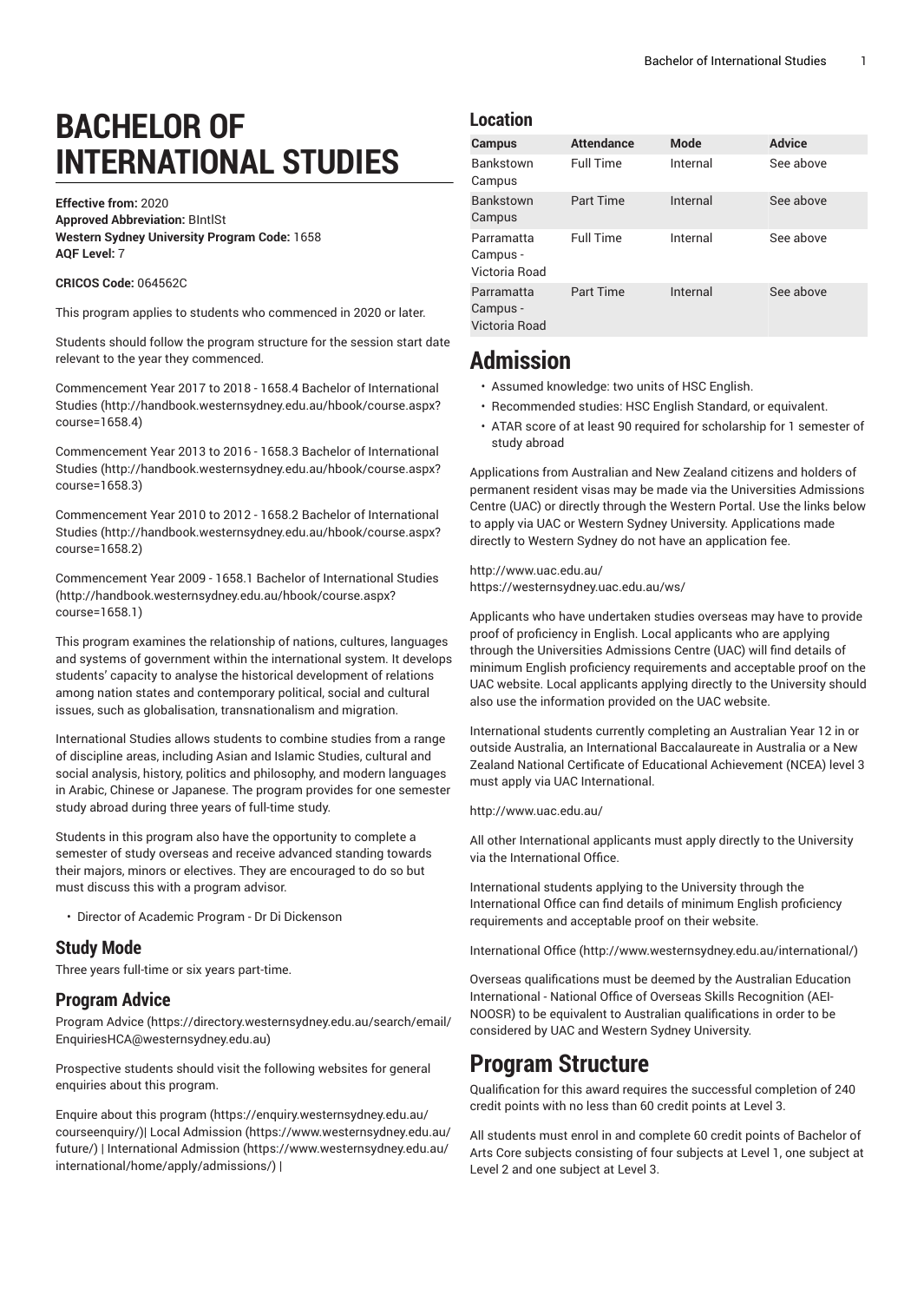# **BACHELOR OF INTERNATIONAL STUDIES**

**Effective from:** 2020 **Approved Abbreviation:** BIntlSt **Western Sydney University Program Code:** 1658 **AQF Level:** 7

#### **CRICOS Code:** 064562C

This program applies to students who commenced in 2020 or later.

Students should follow the program structure for the session start date relevant to the year they commenced.

[Commencement](http://handbook.westernsydney.edu.au/hbook/course.aspx?course=1658.4) Year 2017 to 2018 - 1658.4 Bachelor of International [Studies](http://handbook.westernsydney.edu.au/hbook/course.aspx?course=1658.4) ([http://handbook.westernsydney.edu.au/hbook/course.aspx?](http://handbook.westernsydney.edu.au/hbook/course.aspx?course=1658.4) [course=1658.4\)](http://handbook.westernsydney.edu.au/hbook/course.aspx?course=1658.4)

[Commencement](http://handbook.westernsydney.edu.au/hbook/course.aspx?course=1658.3) Year 2013 to 2016 - 1658.3 Bachelor of International [Studies](http://handbook.westernsydney.edu.au/hbook/course.aspx?course=1658.3) ([http://handbook.westernsydney.edu.au/hbook/course.aspx?](http://handbook.westernsydney.edu.au/hbook/course.aspx?course=1658.3) [course=1658.3\)](http://handbook.westernsydney.edu.au/hbook/course.aspx?course=1658.3)

[Commencement](http://handbook.westernsydney.edu.au/hbook/course.aspx?course=1658.2) Year 2010 to 2012 - 1658.2 Bachelor of International [Studies](http://handbook.westernsydney.edu.au/hbook/course.aspx?course=1658.2) ([http://handbook.westernsydney.edu.au/hbook/course.aspx?](http://handbook.westernsydney.edu.au/hbook/course.aspx?course=1658.2) [course=1658.2\)](http://handbook.westernsydney.edu.au/hbook/course.aspx?course=1658.2)

[Commencement](http://handbook.westernsydney.edu.au/hbook/course.aspx?course=1658.1) Year 2009 - 1658.1 Bachelor of International Studies ([http://handbook.westernsydney.edu.au/hbook/course.aspx?](http://handbook.westernsydney.edu.au/hbook/course.aspx?course=1658.1) [course=1658.1\)](http://handbook.westernsydney.edu.au/hbook/course.aspx?course=1658.1)

This program examines the relationship of nations, cultures, languages and systems of government within the international system. It develops students' capacity to analyse the historical development of relations among nation states and contemporary political, social and cultural issues, such as globalisation, transnationalism and migration.

International Studies allows students to combine studies from a range of discipline areas, including Asian and Islamic Studies, cultural and social analysis, history, politics and philosophy, and modern languages in Arabic, Chinese or Japanese. The program provides for one semester study abroad during three years of full-time study.

Students in this program also have the opportunity to complete a semester of study overseas and receive advanced standing towards their majors, minors or electives. They are encouraged to do so but must discuss this with a program advisor.

• Director of Academic Program - Dr Di Dickenson

#### **Study Mode**

Three years full-time or six years part-time.

#### **Program Advice**

[Program](https://directory.westernsydney.edu.au/search/email/EnquiriesHCA@westernsydney.edu.au) Advice ([https://directory.westernsydney.edu.au/search/email/](https://directory.westernsydney.edu.au/search/email/EnquiriesHCA@westernsydney.edu.au) [EnquiriesHCA@westernsydney.edu.au\)](https://directory.westernsydney.edu.au/search/email/EnquiriesHCA@westernsydney.edu.au)

Prospective students should visit the following websites for general enquiries about this program.

Enquire about this [program \(https://enquiry.westernsydney.edu.au/](https://enquiry.westernsydney.edu.au/courseenquiry/) [courseenquiry/](https://enquiry.westernsydney.edu.au/courseenquiry/))| [Local Admission \(https://www.westernsydney.edu.au/](https://www.westernsydney.edu.au/future/) [future/\)](https://www.westernsydney.edu.au/future/) | [International Admission](https://www.westernsydney.edu.au/international/home/apply/admissions/) ([https://www.westernsydney.edu.au/](https://www.westernsydney.edu.au/international/home/apply/admissions/) [international/home/apply/admissions/](https://www.westernsydney.edu.au/international/home/apply/admissions/)) |

#### **Location**

| <b>Campus</b>                           | <b>Attendance</b> | <b>Mode</b> | <b>Advice</b> |
|-----------------------------------------|-------------------|-------------|---------------|
| <b>Bankstown</b><br>Campus              | <b>Full Time</b>  | Internal    | See above     |
| <b>Bankstown</b><br>Campus              | <b>Part Time</b>  | Internal    | See above     |
| Parramatta<br>Campus -<br>Victoria Road | <b>Full Time</b>  | Internal    | See above     |
| Parramatta<br>Campus -<br>Victoria Road | Part Time         | Internal    | See above     |

# **Admission**

- Assumed knowledge: two units of HSC English.
- Recommended studies: HSC English Standard, or equivalent.
- ATAR score of at least 90 required for scholarship for 1 semester of study abroad

Applications from Australian and New Zealand citizens and holders of permanent resident visas may be made via the Universities Admissions Centre (UAC) or directly through the Western Portal. Use the links below to apply via UAC or Western Sydney University. Applications made directly to Western Sydney do not have an application fee.

<http://www.uac.edu.au/> <https://westernsydney.uac.edu.au/ws/>

Applicants who have undertaken studies overseas may have to provide proof of proficiency in English. Local applicants who are applying through the Universities Admissions Centre (UAC) will find details of minimum English proficiency requirements and acceptable proof on the UAC website. Local applicants applying directly to the University should also use the information provided on the UAC website.

International students currently completing an Australian Year 12 in or outside Australia, an International Baccalaureate in Australia or a New Zealand National Certificate of Educational Achievement (NCEA) level 3 must apply via UAC International.

#### <http://www.uac.edu.au/>

All other International applicants must apply directly to the University via the International Office.

International students applying to the University through the International Office can find details of minimum English proficiency requirements and acceptable proof on their website.

[International Office](http://www.westernsydney.edu.au/international/) ([http://www.westernsydney.edu.au/international/\)](http://www.westernsydney.edu.au/international/)

Overseas qualifications must be deemed by the Australian Education International - National Office of Overseas Skills Recognition (AEI-NOOSR) to be equivalent to Australian qualifications in order to be considered by UAC and Western Sydney University.

# **Program Structure**

Qualification for this award requires the successful completion of 240 credit points with no less than 60 credit points at Level 3.

All students must enrol in and complete 60 credit points of Bachelor of Arts Core subjects consisting of four subjects at Level 1, one subject at Level 2 and one subject at Level 3.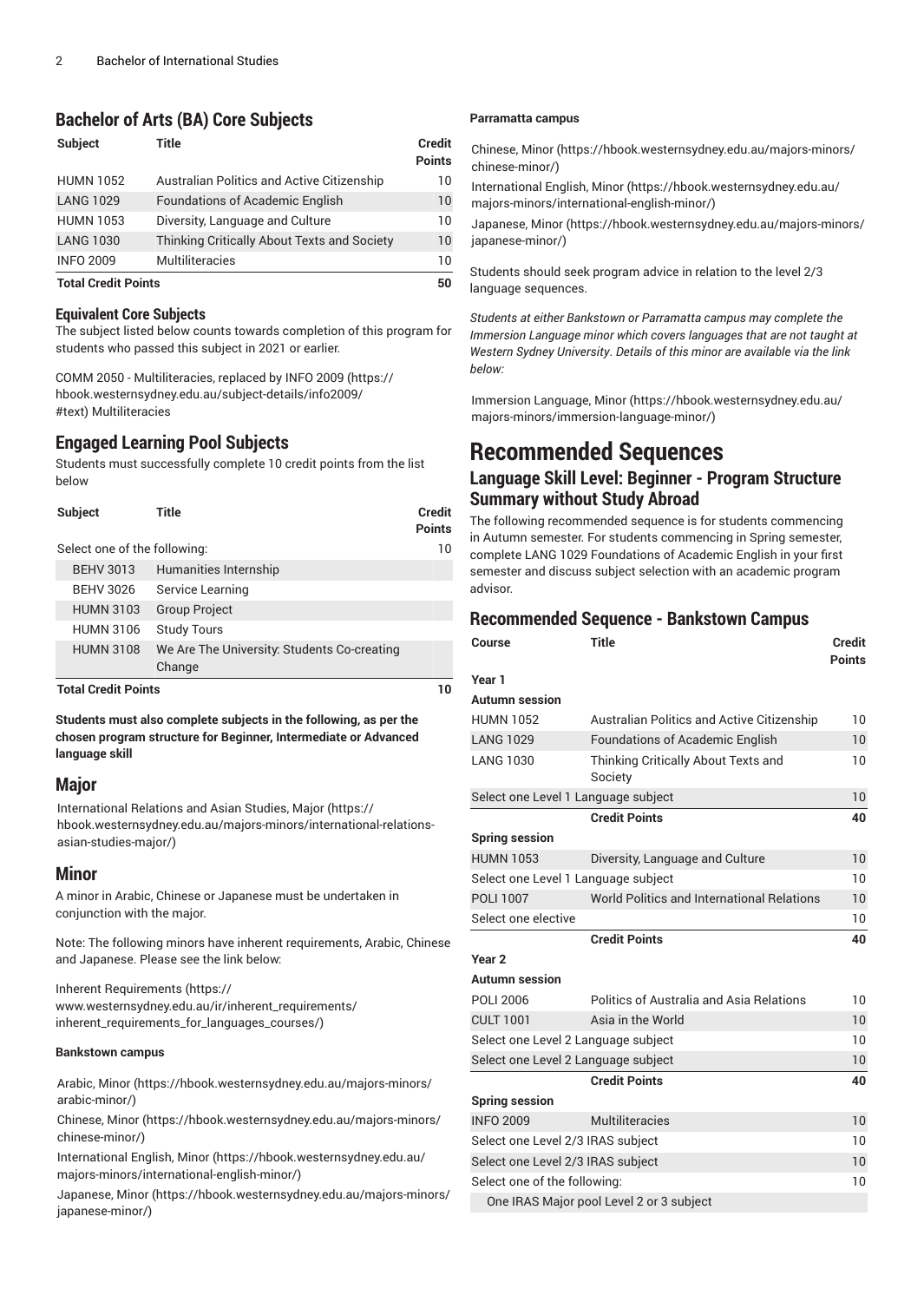### **Bachelor of Arts (BA) Core Subjects**

| <b>Subject</b>             | Title                                       | <b>Credit</b><br><b>Points</b> |
|----------------------------|---------------------------------------------|--------------------------------|
| <b>HUMN 1052</b>           | Australian Politics and Active Citizenship  | 10                             |
| <b>LANG 1029</b>           | <b>Foundations of Academic English</b>      | 10                             |
| <b>HUMN 1053</b>           | Diversity, Language and Culture             | 10                             |
| <b>LANG 1030</b>           | Thinking Critically About Texts and Society | 10                             |
| <b>INFO 2009</b>           | <b>Multiliteracies</b>                      | 10                             |
| <b>Total Credit Points</b> |                                             | 50                             |

#### **Equivalent Core Subjects**

The subject listed below counts towards completion of this program for students who passed this subject in 2021 or earlier.

COMM 2050 - Multiliteracies, replaced by [INFO 2009 \(https://](https://hbook.westernsydney.edu.au/subject-details/info2009/#text) [hbook.westernsydney.edu.au/subject-details/info2009/](https://hbook.westernsydney.edu.au/subject-details/info2009/#text) [#text\)](https://hbook.westernsydney.edu.au/subject-details/info2009/#text) Multiliteracies

### **Engaged Learning Pool Subjects**

Students must successfully complete 10 credit points from the list below

| <b>Subject</b>               | Title                                                 | <b>Credit</b><br><b>Points</b> |
|------------------------------|-------------------------------------------------------|--------------------------------|
| Select one of the following: |                                                       | 10                             |
| <b>BEHV 3013</b>             | Humanities Internship                                 |                                |
| <b>BEHV 3026</b>             | Service Learning                                      |                                |
| <b>HUMN 3103</b>             | <b>Group Project</b>                                  |                                |
| <b>HUMN 3106</b>             | <b>Study Tours</b>                                    |                                |
| <b>HUMN 3108</b>             | We Are The University: Students Co-creating<br>Change |                                |
| <b>Total Credit Points</b>   |                                                       | ıΟ                             |

**Students must also complete subjects in the following, as per the chosen program structure for Beginner, Intermediate or Advanced language skill**

#### **Major**

[International Relations and Asian Studies, Major](https://hbook.westernsydney.edu.au/majors-minors/international-relations-asian-studies-major/) ([https://](https://hbook.westernsydney.edu.au/majors-minors/international-relations-asian-studies-major/) [hbook.westernsydney.edu.au/majors-minors/international-relations](https://hbook.westernsydney.edu.au/majors-minors/international-relations-asian-studies-major/)[asian-studies-major/](https://hbook.westernsydney.edu.au/majors-minors/international-relations-asian-studies-major/))

#### **Minor**

A minor in Arabic, Chinese or Japanese must be undertaken in conjunction with the major.

Note: The following minors have inherent requirements, Arabic, Chinese and Japanese. Please see the link below:

Inherent [Requirements](https://www.westernsydney.edu.au/ir/inherent_requirements/inherent_requirements_for_languages_courses/) ([https://](https://www.westernsydney.edu.au/ir/inherent_requirements/inherent_requirements_for_languages_courses/) [www.westernsydney.edu.au/ir/inherent\\_requirements/](https://www.westernsydney.edu.au/ir/inherent_requirements/inherent_requirements_for_languages_courses/) [inherent\\_requirements\\_for\\_languages\\_courses/\)](https://www.westernsydney.edu.au/ir/inherent_requirements/inherent_requirements_for_languages_courses/)

#### **Bankstown campus**

[Arabic, Minor \(https://hbook.westernsydney.edu.au/majors-minors/](https://hbook.westernsydney.edu.au/majors-minors/arabic-minor/) [arabic-minor/\)](https://hbook.westernsydney.edu.au/majors-minors/arabic-minor/)

[Chinese, Minor](https://hbook.westernsydney.edu.au/majors-minors/chinese-minor/) ([https://hbook.westernsydney.edu.au/majors-minors/](https://hbook.westernsydney.edu.au/majors-minors/chinese-minor/) [chinese-minor/](https://hbook.westernsydney.edu.au/majors-minors/chinese-minor/))

[International English, Minor \(https://hbook.westernsydney.edu.au/](https://hbook.westernsydney.edu.au/majors-minors/international-english-minor/) [majors-minors/international-english-minor/](https://hbook.westernsydney.edu.au/majors-minors/international-english-minor/))

[Japanese, Minor](https://hbook.westernsydney.edu.au/majors-minors/japanese-minor/) ([https://hbook.westernsydney.edu.au/majors-minors/](https://hbook.westernsydney.edu.au/majors-minors/japanese-minor/) [japanese-minor/\)](https://hbook.westernsydney.edu.au/majors-minors/japanese-minor/)

#### **Parramatta campus**

[Chinese, Minor](https://hbook.westernsydney.edu.au/majors-minors/chinese-minor/) [\(https://hbook.westernsydney.edu.au/majors-minors/](https://hbook.westernsydney.edu.au/majors-minors/chinese-minor/) [chinese-minor/](https://hbook.westernsydney.edu.au/majors-minors/chinese-minor/))

[International English, Minor \(https://hbook.westernsydney.edu.au/](https://hbook.westernsydney.edu.au/majors-minors/international-english-minor/) [majors-minors/international-english-minor/\)](https://hbook.westernsydney.edu.au/majors-minors/international-english-minor/)

[Japanese, Minor \(https://hbook.westernsydney.edu.au/majors-minors/](https://hbook.westernsydney.edu.au/majors-minors/japanese-minor/) [japanese-minor/](https://hbook.westernsydney.edu.au/majors-minors/japanese-minor/))

Students should seek program advice in relation to the level 2/3 language sequences.

*Students at either Bankstown or Parramatta campus may complete the Immersion Language minor which covers languages that are not taught at Western Sydney University*. *Details of this minor are available via the link below:*

[Immersion Language, Minor \(https://hbook.westernsydney.edu.au/](https://hbook.westernsydney.edu.au/majors-minors/immersion-language-minor/) [majors-minors/immersion-language-minor/\)](https://hbook.westernsydney.edu.au/majors-minors/immersion-language-minor/)

# **Recommended Sequences**

#### **Language Skill Level: Beginner - Program Structure Summary without Study Abroad**

The following recommended sequence is for students commencing in Autumn semester. For students commencing in Spring semester, complete LANG 1029 Foundations of Academic English in your first semester and discuss subject selection with an academic program advisor.

#### **Recommended Sequence - Bankstown Campus**

| Course                              | <b>Title</b>                                      | <b>Credit</b><br><b>Points</b> |
|-------------------------------------|---------------------------------------------------|--------------------------------|
| Year 1                              |                                                   |                                |
| Autumn session                      |                                                   |                                |
| <b>HUMN 1052</b>                    | <b>Australian Politics and Active Citizenship</b> | 10                             |
| <b>LANG 1029</b>                    | <b>Foundations of Academic English</b>            | 10                             |
| <b>LANG 1030</b>                    | Thinking Critically About Texts and<br>Society    | 10                             |
| Select one Level 1 Language subject |                                                   | 10                             |
|                                     | <b>Credit Points</b>                              | 40                             |
| <b>Spring session</b>               |                                                   |                                |
| <b>HUMN 1053</b>                    | Diversity, Language and Culture                   | 10                             |
| Select one Level 1 Language subject |                                                   | 10                             |
| POLI 1007                           | World Politics and International Relations        | 10                             |
| Select one elective                 |                                                   | 10                             |
|                                     | <b>Credit Points</b>                              | 40                             |
| Year <sub>2</sub>                   |                                                   |                                |
| Autumn session                      |                                                   |                                |
| <b>POLI 2006</b>                    | Politics of Australia and Asia Relations          | 10                             |
| <b>CULT 1001</b>                    | Asia in the World                                 | 10                             |
| Select one Level 2 Language subject |                                                   | 10                             |
| Select one Level 2 Language subject |                                                   | 10                             |
|                                     | <b>Credit Points</b>                              | 40                             |
| <b>Spring session</b>               |                                                   |                                |
| <b>INFO 2009</b>                    | Multiliteracies                                   | 10                             |
| Select one Level 2/3 IRAS subject   |                                                   | 10                             |
| Select one Level 2/3 IRAS subject   |                                                   | 10                             |
| Select one of the following:        |                                                   | 10                             |
|                                     | One IRAS Major pool Level 2 or 3 subject          |                                |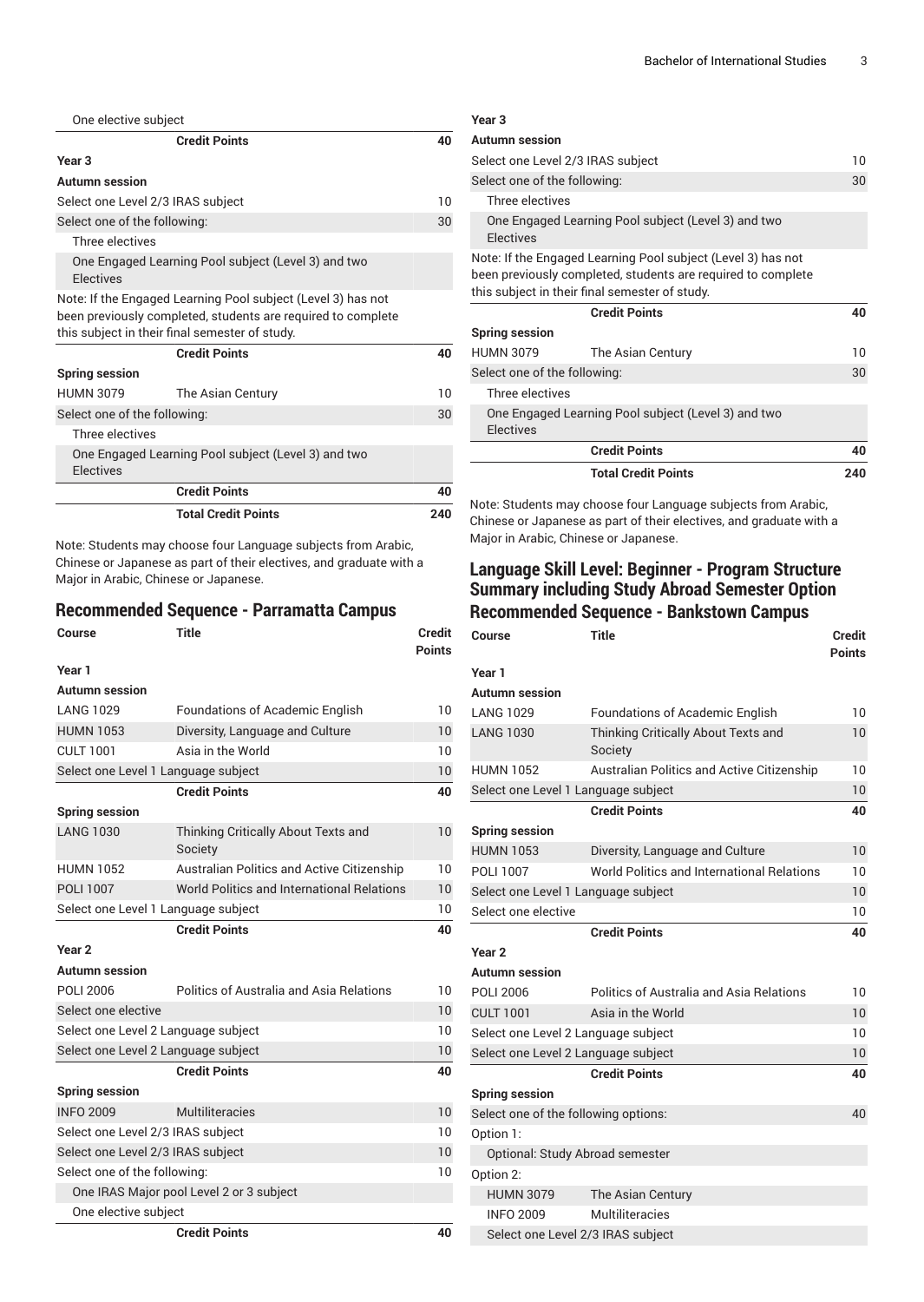| One elective subject         |                                                                                                                                                                                |     |
|------------------------------|--------------------------------------------------------------------------------------------------------------------------------------------------------------------------------|-----|
|                              | <b>Credit Points</b>                                                                                                                                                           | 40  |
| Year <sub>3</sub>            |                                                                                                                                                                                |     |
| Autumn session               |                                                                                                                                                                                |     |
|                              | Select one Level 2/3 IRAS subject                                                                                                                                              | 10  |
| Select one of the following: |                                                                                                                                                                                | 30  |
| Three electives              |                                                                                                                                                                                |     |
| <b>Flectives</b>             | One Engaged Learning Pool subject (Level 3) and two                                                                                                                            |     |
|                              | Note: If the Engaged Learning Pool subject (Level 3) has not<br>been previously completed, students are required to complete<br>this subject in their final semester of study. |     |
|                              | <b>Credit Points</b>                                                                                                                                                           | 40  |
| <b>Spring session</b>        |                                                                                                                                                                                |     |
| <b>HUMN 3079</b>             | The Asian Century                                                                                                                                                              | 10  |
| Select one of the following: |                                                                                                                                                                                | 30  |
| Three electives              |                                                                                                                                                                                |     |
| Electives                    | One Engaged Learning Pool subject (Level 3) and two                                                                                                                            |     |
|                              | <b>Credit Points</b>                                                                                                                                                           | 40  |
|                              | <b>Total Credit Points</b>                                                                                                                                                     | 240 |

Note: Students may choose four Language subjects from Arabic, Chinese or Japanese as part of their electives, and graduate with a Major in Arabic, Chinese or Japanese.

#### **Recommended Sequence - Parramatta Campus**

| Course                              | <b>Title</b>                                      | <b>Credit</b><br><b>Points</b> |
|-------------------------------------|---------------------------------------------------|--------------------------------|
| Year 1                              |                                                   |                                |
| Autumn session                      |                                                   |                                |
| <b>LANG 1029</b>                    | <b>Foundations of Academic English</b>            | 10                             |
| <b>HUMN 1053</b>                    | Diversity, Language and Culture                   | 10                             |
| <b>CULT 1001</b>                    | Asia in the World                                 | 10                             |
| Select one Level 1 Language subject |                                                   | 10                             |
|                                     | <b>Credit Points</b>                              | 40                             |
| <b>Spring session</b>               |                                                   |                                |
| <b>LANG 1030</b>                    | Thinking Critically About Texts and<br>Society    | 10                             |
| <b>HUMN 1052</b>                    | <b>Australian Politics and Active Citizenship</b> | 10                             |
| <b>POLI 1007</b>                    | World Politics and International Relations        | 10                             |
| Select one Level 1 Language subject |                                                   | 10 <sup>°</sup>                |
|                                     | <b>Credit Points</b>                              | 40                             |
| Year <sub>2</sub>                   |                                                   |                                |
| <b>Autumn session</b>               |                                                   |                                |
| POLI 2006                           | Politics of Australia and Asia Relations          | 10                             |
| Select one elective                 |                                                   | 10                             |
| Select one Level 2 Language subject |                                                   | 10                             |
| Select one Level 2 Language subject |                                                   | 10                             |
|                                     | <b>Credit Points</b>                              | 40                             |
| <b>Spring session</b>               |                                                   |                                |
| <b>INFO 2009</b>                    | Multiliteracies                                   | 10                             |
| Select one Level 2/3 IRAS subject   |                                                   | 10                             |
| Select one Level 2/3 IRAS subject   |                                                   | 10                             |
| Select one of the following:        |                                                   | 10                             |
|                                     | One IRAS Major pool Level 2 or 3 subject          |                                |
| One elective subject                |                                                   |                                |
|                                     | <b>Credit Points</b>                              | 40                             |

| Select one Level 2/3 IRAS subject                                                                                                                                              | 10  |
|--------------------------------------------------------------------------------------------------------------------------------------------------------------------------------|-----|
|                                                                                                                                                                                | 30  |
|                                                                                                                                                                                |     |
| One Engaged Learning Pool subject (Level 3) and two                                                                                                                            |     |
| Note: If the Engaged Learning Pool subject (Level 3) has not<br>been previously completed, students are required to complete<br>this subject in their final semester of study. |     |
| <b>Credit Points</b>                                                                                                                                                           | 40  |
|                                                                                                                                                                                |     |
| The Asian Century                                                                                                                                                              | 10  |
| Select one of the following:                                                                                                                                                   |     |
|                                                                                                                                                                                |     |
| One Engaged Learning Pool subject (Level 3) and two                                                                                                                            |     |
| <b>Credit Points</b>                                                                                                                                                           | 40  |
| <b>Total Credit Points</b>                                                                                                                                                     | 240 |
|                                                                                                                                                                                |     |

Note: Students may choose four Language subjects from Arabic, Chinese or Japanese as part of their electives, and graduate with a Major in Arabic, Chinese or Japanese.

## **Language Skill Level: Beginner - Program Structure Summary including Study Abroad Semester Option Recommended Sequence - Bankstown Campus**

| Course                               | Title                                             | Credit<br><b>Points</b> |
|--------------------------------------|---------------------------------------------------|-------------------------|
| Year 1                               |                                                   |                         |
| Autumn session                       |                                                   |                         |
| <b>LANG 1029</b>                     | <b>Foundations of Academic English</b>            | 10                      |
| <b>LANG 1030</b>                     | Thinking Critically About Texts and<br>Society    | 10                      |
| <b>HUMN 1052</b>                     | <b>Australian Politics and Active Citizenship</b> | 10                      |
| Select one Level 1 Language subject  |                                                   | 10                      |
|                                      | <b>Credit Points</b>                              | 40                      |
| <b>Spring session</b>                |                                                   |                         |
| <b>HUMN 1053</b>                     | Diversity, Language and Culture                   | 10                      |
| POLI 1007                            | World Politics and International Relations        | 10                      |
| Select one Level 1 Language subject  |                                                   | 10                      |
| Select one elective                  |                                                   | 10                      |
|                                      | <b>Credit Points</b>                              | 40                      |
| Year <sub>2</sub>                    |                                                   |                         |
| Autumn session                       |                                                   |                         |
| <b>POLI 2006</b>                     | Politics of Australia and Asia Relations          | 10                      |
| <b>CULT 1001</b>                     | Asia in the World                                 | 10                      |
| Select one Level 2 Language subject  |                                                   | 10                      |
| Select one Level 2 Language subject  |                                                   | 10                      |
|                                      | <b>Credit Points</b>                              | 40                      |
| <b>Spring session</b>                |                                                   |                         |
| Select one of the following options: |                                                   | 40                      |
| Option 1:                            |                                                   |                         |
| Optional: Study Abroad semester      |                                                   |                         |
| Option 2:                            |                                                   |                         |
| <b>HUMN 3079</b>                     | The Asian Century                                 |                         |
| <b>INFO 2009</b>                     | Multiliteracies                                   |                         |
| Select one Level 2/3 IRAS subject    |                                                   |                         |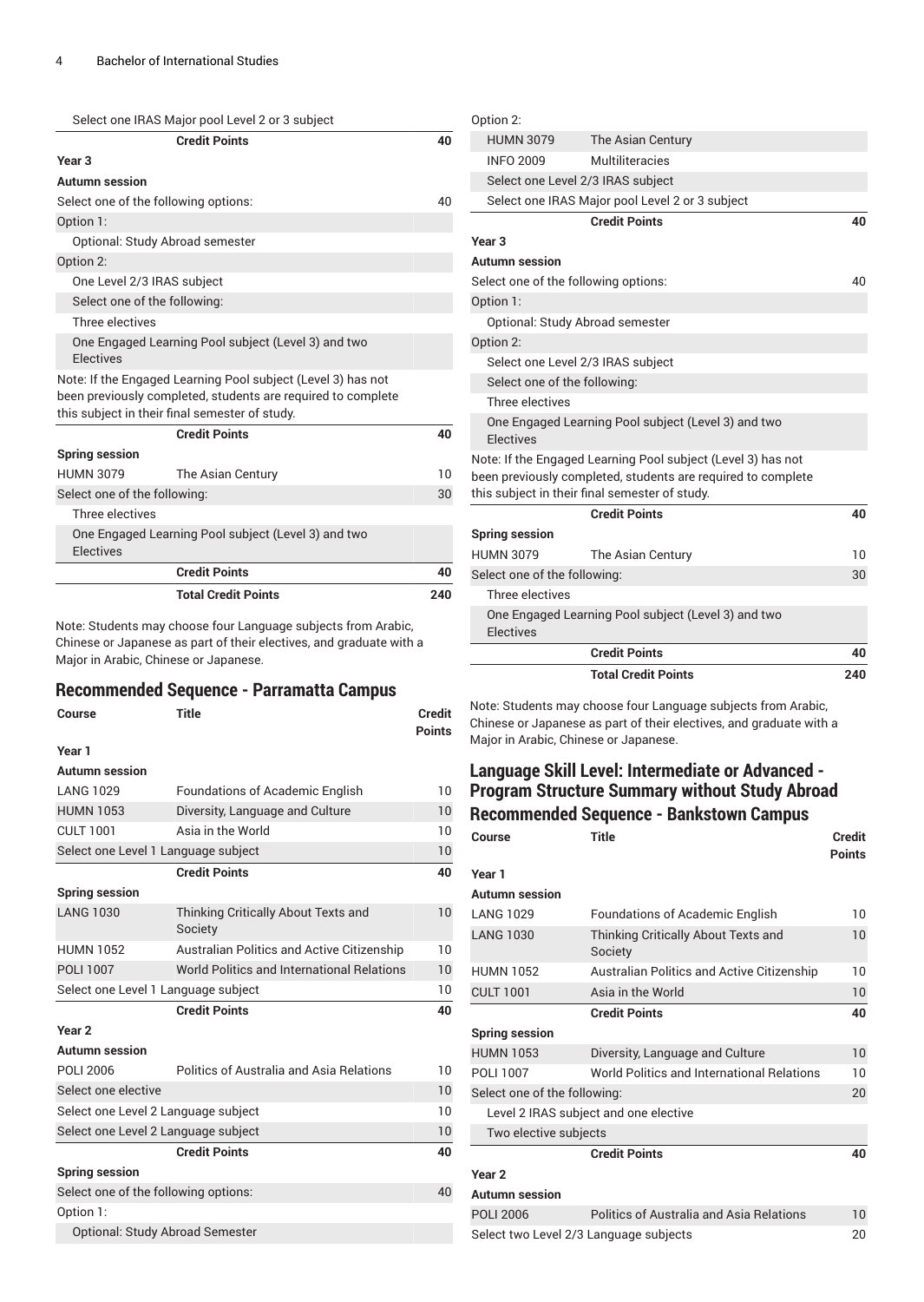| <b>Credit Points</b>                                                                                                         | 40 |
|------------------------------------------------------------------------------------------------------------------------------|----|
| Year <sub>3</sub>                                                                                                            |    |
| Autumn session                                                                                                               |    |
| Select one of the following options:                                                                                         | 40 |
| Option 1:                                                                                                                    |    |
| Optional: Study Abroad semester                                                                                              |    |
| Option 2:                                                                                                                    |    |
| One Level 2/3 IRAS subject                                                                                                   |    |
| Select one of the following:                                                                                                 |    |
| Three electives                                                                                                              |    |
| One Engaged Learning Pool subject (Level 3) and two<br><b>Flectives</b>                                                      |    |
| Note: If the Engaged Learning Pool subject (Level 3) has not<br>been previously completed, students are required to complete |    |
| this subject in their final semester of study.                                                                               |    |
| <b>Credit Points</b>                                                                                                         | 40 |
|                                                                                                                              |    |
| <b>Spring session</b>                                                                                                        |    |
| <b>HUMN 3079</b><br>The Asian Century                                                                                        | 10 |
| Select one of the following:                                                                                                 | 30 |
| Three electives                                                                                                              |    |
| One Engaged Learning Pool subject (Level 3) and two<br>Electives                                                             |    |
| <b>Credit Points</b>                                                                                                         | 40 |

Note: Students may choose four Language subjects from Arabic, Chinese or Japanese as part of their electives, and graduate with a Major in Arabic, Chinese or Japanese.

#### **Recommended Sequence - Parramatta Campus**

| Course                                 | <b>Title</b>                                      | <b>Credit</b> |
|----------------------------------------|---------------------------------------------------|---------------|
|                                        |                                                   | <b>Points</b> |
| Year 1                                 |                                                   |               |
| <b>Autumn session</b>                  |                                                   |               |
| <b>LANG 1029</b>                       | <b>Foundations of Academic English</b>            | 10            |
| <b>HUMN 1053</b>                       | Diversity, Language and Culture                   | 10            |
| <b>CULT 1001</b>                       | Asia in the World                                 | 10            |
| Select one Level 1 Language subject    |                                                   | 10            |
|                                        | <b>Credit Points</b>                              | 40            |
| <b>Spring session</b>                  |                                                   |               |
| <b>LANG 1030</b>                       | Thinking Critically About Texts and<br>Society    | 10            |
| <b>HUMN 1052</b>                       | <b>Australian Politics and Active Citizenship</b> | 10            |
| <b>POLI 1007</b>                       | World Politics and International Relations        | 10            |
| Select one Level 1 Language subject    |                                                   | 10            |
|                                        | <b>Credit Points</b>                              | 40            |
| Year <sub>2</sub>                      |                                                   |               |
| <b>Autumn session</b>                  |                                                   |               |
| POLI 2006                              | Politics of Australia and Asia Relations          | 10            |
| Select one elective                    |                                                   | 10            |
| Select one Level 2 Language subject    |                                                   | 10            |
| Select one Level 2 Language subject    |                                                   | 10            |
|                                        | <b>Credit Points</b>                              | 40            |
| <b>Spring session</b>                  |                                                   |               |
| Select one of the following options:   |                                                   | 40            |
| Option 1:                              |                                                   |               |
| <b>Optional: Study Abroad Semester</b> |                                                   |               |

|                                                | <b>Total Credit Points</b>                                                                                                   | 240 |
|------------------------------------------------|------------------------------------------------------------------------------------------------------------------------------|-----|
|                                                | <b>Credit Points</b>                                                                                                         | 40  |
| Electives                                      | One Engaged Learning Pool subject (Level 3) and two                                                                          |     |
| Three electives                                |                                                                                                                              |     |
| Select one of the following:                   |                                                                                                                              | 30  |
| <b>HUMN 3079</b>                               | The Asian Century                                                                                                            | 10  |
| <b>Spring session</b>                          |                                                                                                                              |     |
|                                                | <b>Credit Points</b>                                                                                                         | 40  |
| this subject in their final semester of study. | Note: If the Engaged Learning Pool subject (Level 3) has not<br>been previously completed, students are required to complete |     |
| <b>Flectives</b>                               | One Engaged Learning Pool subject (Level 3) and two                                                                          |     |
| Three electives                                |                                                                                                                              |     |
| Select one of the following:                   |                                                                                                                              |     |
| Select one Level 2/3 IRAS subject              |                                                                                                                              |     |
| Option 2:                                      |                                                                                                                              |     |
| Optional: Study Abroad semester                |                                                                                                                              |     |
| Option 1:                                      |                                                                                                                              |     |
| Select one of the following options:           |                                                                                                                              | 40  |
| <b>Autumn session</b>                          |                                                                                                                              |     |
| Year <sub>3</sub>                              |                                                                                                                              |     |
|                                                | <b>Credit Points</b>                                                                                                         | 40  |
|                                                | Select one IRAS Major pool Level 2 or 3 subject                                                                              |     |
| Select one Level 2/3 IRAS subject              |                                                                                                                              |     |
| <b>INFO 2009</b>                               | The Asian Century<br>Multiliteracies                                                                                         |     |
| Option 2:<br><b>HUMN 3079</b>                  |                                                                                                                              |     |
|                                                |                                                                                                                              |     |

Note: Students may choose four Language subjects from Arabic, Chinese or Japanese as part of their electives, and graduate with a Major in Arabic, Chinese or Japanese.

# **Language Skill Level: Intermediate or Advanced - Program Structure Summary without Study Abroad Recommended Sequence - Bankstown Campus**

| <b>Course</b>                          | <b>Title</b>                                    | <b>Credit</b><br><b>Points</b> |
|----------------------------------------|-------------------------------------------------|--------------------------------|
| Year 1                                 |                                                 |                                |
| <b>Autumn session</b>                  |                                                 |                                |
| <b>LANG 1029</b>                       | <b>Foundations of Academic English</b>          | 10 <sup>°</sup>                |
| <b>LANG 1030</b>                       | Thinking Critically About Texts and<br>Society  | 10                             |
| <b>HUMN 1052</b>                       | Australian Politics and Active Citizenship      | 10                             |
| <b>CULT 1001</b>                       | Asia in the World                               | 10                             |
|                                        | <b>Credit Points</b>                            | 40                             |
| <b>Spring session</b>                  |                                                 |                                |
| <b>HUMN 1053</b>                       | Diversity, Language and Culture                 | 10                             |
| POLI 1007                              | World Politics and International Relations      | 10                             |
| Select one of the following:           |                                                 | 20                             |
|                                        | Level 2 IRAS subject and one elective           |                                |
| Two elective subjects                  |                                                 |                                |
|                                        | <b>Credit Points</b>                            | 40                             |
| Year <sub>2</sub>                      |                                                 |                                |
| <b>Autumn session</b>                  |                                                 |                                |
| <b>POLI 2006</b>                       | <b>Politics of Australia and Asia Relations</b> | 10                             |
| Select two Level 2/3 Language subjects |                                                 | 20                             |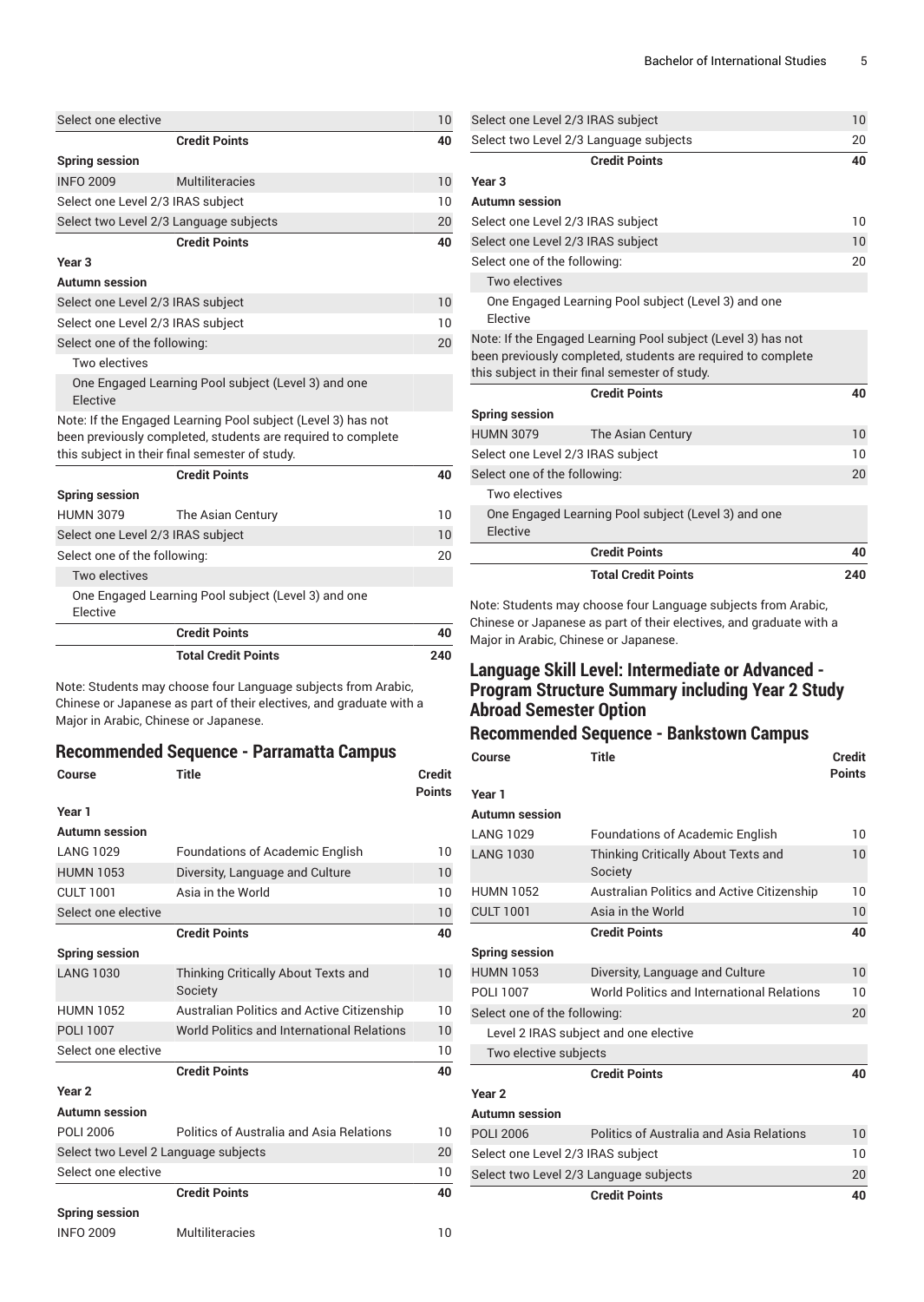| Select one elective               |                                                                                                                                                                                | 10  |
|-----------------------------------|--------------------------------------------------------------------------------------------------------------------------------------------------------------------------------|-----|
|                                   | <b>Credit Points</b>                                                                                                                                                           | 40  |
| <b>Spring session</b>             |                                                                                                                                                                                |     |
| <b>INFO 2009</b>                  | Multiliteracies                                                                                                                                                                | 10  |
| Select one Level 2/3 IRAS subject |                                                                                                                                                                                | 10  |
|                                   | Select two Level 2/3 Language subjects                                                                                                                                         | 20  |
|                                   | <b>Credit Points</b>                                                                                                                                                           | 40  |
| Year <sub>3</sub>                 |                                                                                                                                                                                |     |
| <b>Autumn session</b>             |                                                                                                                                                                                |     |
| Select one Level 2/3 IRAS subject |                                                                                                                                                                                | 10  |
| Select one Level 2/3 IRAS subject |                                                                                                                                                                                | 10  |
| Select one of the following:      |                                                                                                                                                                                | 20  |
| Two electives                     |                                                                                                                                                                                |     |
| <b>Flective</b>                   | One Engaged Learning Pool subject (Level 3) and one                                                                                                                            |     |
|                                   | Note: If the Engaged Learning Pool subject (Level 3) has not<br>been previously completed, students are required to complete<br>this subject in their final semester of study. |     |
|                                   | <b>Credit Points</b>                                                                                                                                                           | 40  |
| <b>Spring session</b>             |                                                                                                                                                                                |     |
| <b>HUMN 3079</b>                  | The Asian Century                                                                                                                                                              | 10  |
| Select one Level 2/3 IRAS subject |                                                                                                                                                                                | 10  |
| Select one of the following:      |                                                                                                                                                                                | 20  |
| Two electives                     |                                                                                                                                                                                |     |
| Elective                          | One Engaged Learning Pool subject (Level 3) and one                                                                                                                            |     |
|                                   | <b>Credit Points</b>                                                                                                                                                           | 40  |
|                                   | <b>Total Credit Points</b>                                                                                                                                                     | 240 |

Note: Students may choose four Language subjects from Arabic, Chinese or Japanese as part of their electives, and graduate with a Major in Arabic, Chinese or Japanese.

#### **Recommended Sequence - Parramatta Campus**

| Course                               | Title                                             | Credit<br><b>Points</b> |
|--------------------------------------|---------------------------------------------------|-------------------------|
| Year 1                               |                                                   |                         |
| <b>Autumn session</b>                |                                                   |                         |
| <b>LANG 1029</b>                     | <b>Foundations of Academic English</b>            | 10                      |
| <b>HUMN 1053</b>                     | Diversity, Language and Culture                   | 10                      |
| <b>CULT 1001</b>                     | Asia in the World                                 | 10                      |
| Select one elective                  |                                                   | 10                      |
|                                      | <b>Credit Points</b>                              | 40                      |
| <b>Spring session</b>                |                                                   |                         |
| <b>LANG 1030</b>                     | Thinking Critically About Texts and<br>Society    | 10                      |
| <b>HUMN 1052</b>                     | <b>Australian Politics and Active Citizenship</b> | 10                      |
| <b>POLI 1007</b>                     | World Politics and International Relations        | 10                      |
| Select one elective                  |                                                   | 10                      |
|                                      | <b>Credit Points</b>                              | 40                      |
| Year <sub>2</sub>                    |                                                   |                         |
| <b>Autumn</b> session                |                                                   |                         |
| POLI 2006                            | Politics of Australia and Asia Relations          | 10                      |
| Select two Level 2 Language subjects |                                                   | 20                      |
| Select one elective                  |                                                   | 10                      |
|                                      | <b>Credit Points</b>                              | 40                      |
| <b>Spring session</b>                |                                                   |                         |
| <b>INFO 2009</b>                     | Multiliteracies                                   | 10                      |

| Select two Level 2/3 Language subjects<br><b>Credit Points</b><br>Year <sub>3</sub><br><b>Autumn session</b><br>Select one Level 2/3 IRAS subject<br>Select one Level 2/3 IRAS subject<br>10<br>Select one of the following:<br>Two electives<br>One Engaged Learning Pool subject (Level 3) and one<br>Flective<br>Note: If the Engaged Learning Pool subject (Level 3) has not<br>been previously completed, students are required to complete<br>this subject in their final semester of study.<br><b>Credit Points</b><br><b>Spring session</b><br><b>HUMN 3079</b><br>The Asian Century<br>Select one Level 2/3 IRAS subject<br>Select one of the following:<br>Two electives<br>One Engaged Learning Pool subject (Level 3) and one<br>Elective<br><b>Credit Points</b> |  | 10<br>20<br>40 |  |
|-------------------------------------------------------------------------------------------------------------------------------------------------------------------------------------------------------------------------------------------------------------------------------------------------------------------------------------------------------------------------------------------------------------------------------------------------------------------------------------------------------------------------------------------------------------------------------------------------------------------------------------------------------------------------------------------------------------------------------------------------------------------------------|--|----------------|--|
|                                                                                                                                                                                                                                                                                                                                                                                                                                                                                                                                                                                                                                                                                                                                                                               |  | 40<br>10       |  |
|                                                                                                                                                                                                                                                                                                                                                                                                                                                                                                                                                                                                                                                                                                                                                                               |  |                |  |
|                                                                                                                                                                                                                                                                                                                                                                                                                                                                                                                                                                                                                                                                                                                                                                               |  |                |  |
|                                                                                                                                                                                                                                                                                                                                                                                                                                                                                                                                                                                                                                                                                                                                                                               |  |                |  |
|                                                                                                                                                                                                                                                                                                                                                                                                                                                                                                                                                                                                                                                                                                                                                                               |  |                |  |
|                                                                                                                                                                                                                                                                                                                                                                                                                                                                                                                                                                                                                                                                                                                                                                               |  |                |  |
|                                                                                                                                                                                                                                                                                                                                                                                                                                                                                                                                                                                                                                                                                                                                                                               |  |                |  |
|                                                                                                                                                                                                                                                                                                                                                                                                                                                                                                                                                                                                                                                                                                                                                                               |  |                |  |
|                                                                                                                                                                                                                                                                                                                                                                                                                                                                                                                                                                                                                                                                                                                                                                               |  |                |  |
|                                                                                                                                                                                                                                                                                                                                                                                                                                                                                                                                                                                                                                                                                                                                                                               |  |                |  |
|                                                                                                                                                                                                                                                                                                                                                                                                                                                                                                                                                                                                                                                                                                                                                                               |  |                |  |
|                                                                                                                                                                                                                                                                                                                                                                                                                                                                                                                                                                                                                                                                                                                                                                               |  | 20             |  |
|                                                                                                                                                                                                                                                                                                                                                                                                                                                                                                                                                                                                                                                                                                                                                                               |  |                |  |
|                                                                                                                                                                                                                                                                                                                                                                                                                                                                                                                                                                                                                                                                                                                                                                               |  | 10             |  |
|                                                                                                                                                                                                                                                                                                                                                                                                                                                                                                                                                                                                                                                                                                                                                                               |  |                |  |
|                                                                                                                                                                                                                                                                                                                                                                                                                                                                                                                                                                                                                                                                                                                                                                               |  |                |  |
|                                                                                                                                                                                                                                                                                                                                                                                                                                                                                                                                                                                                                                                                                                                                                                               |  | 40             |  |
|                                                                                                                                                                                                                                                                                                                                                                                                                                                                                                                                                                                                                                                                                                                                                                               |  |                |  |
| Select one Level 2/3 IRAS subject<br>10                                                                                                                                                                                                                                                                                                                                                                                                                                                                                                                                                                                                                                                                                                                                       |  | 20             |  |

Note: Students may choose four Language subjects from Arabic, Chinese or Japanese as part of their electives, and graduate with a Major in Arabic, Chinese or Japanese.

## **Language Skill Level: Intermediate or Advanced - Program Structure Summary including Year 2 Study Abroad Semester Option**

# **Recommended Sequence - Bankstown Campus**

| Course                                 | <b>Title</b>                                      | <b>Credit</b><br><b>Points</b> |
|----------------------------------------|---------------------------------------------------|--------------------------------|
| Year 1                                 |                                                   |                                |
| Autumn session                         |                                                   |                                |
| <b>LANG 1029</b>                       | <b>Foundations of Academic English</b>            | $10^{\circ}$                   |
| <b>LANG 1030</b>                       | Thinking Critically About Texts and<br>Society    | 10                             |
| <b>HUMN 1052</b>                       | <b>Australian Politics and Active Citizenship</b> | 10                             |
| <b>CULT 1001</b>                       | Asia in the World                                 | 10                             |
|                                        | <b>Credit Points</b>                              | 40                             |
| <b>Spring session</b>                  |                                                   |                                |
| <b>HUMN 1053</b>                       | Diversity, Language and Culture                   | 10                             |
| POLI 1007                              | World Politics and International Relations        | 10                             |
| Select one of the following:           |                                                   |                                |
|                                        | Level 2 IRAS subject and one elective             |                                |
| Two elective subjects                  |                                                   |                                |
|                                        | <b>Credit Points</b>                              | 40                             |
| Year <sub>2</sub>                      |                                                   |                                |
| <b>Autumn</b> session                  |                                                   |                                |
| <b>POLI 2006</b>                       | Politics of Australia and Asia Relations          | 10                             |
| Select one Level 2/3 IRAS subject      |                                                   | 10                             |
| Select two Level 2/3 Language subjects |                                                   | 20                             |
|                                        | <b>Credit Points</b>                              | 40                             |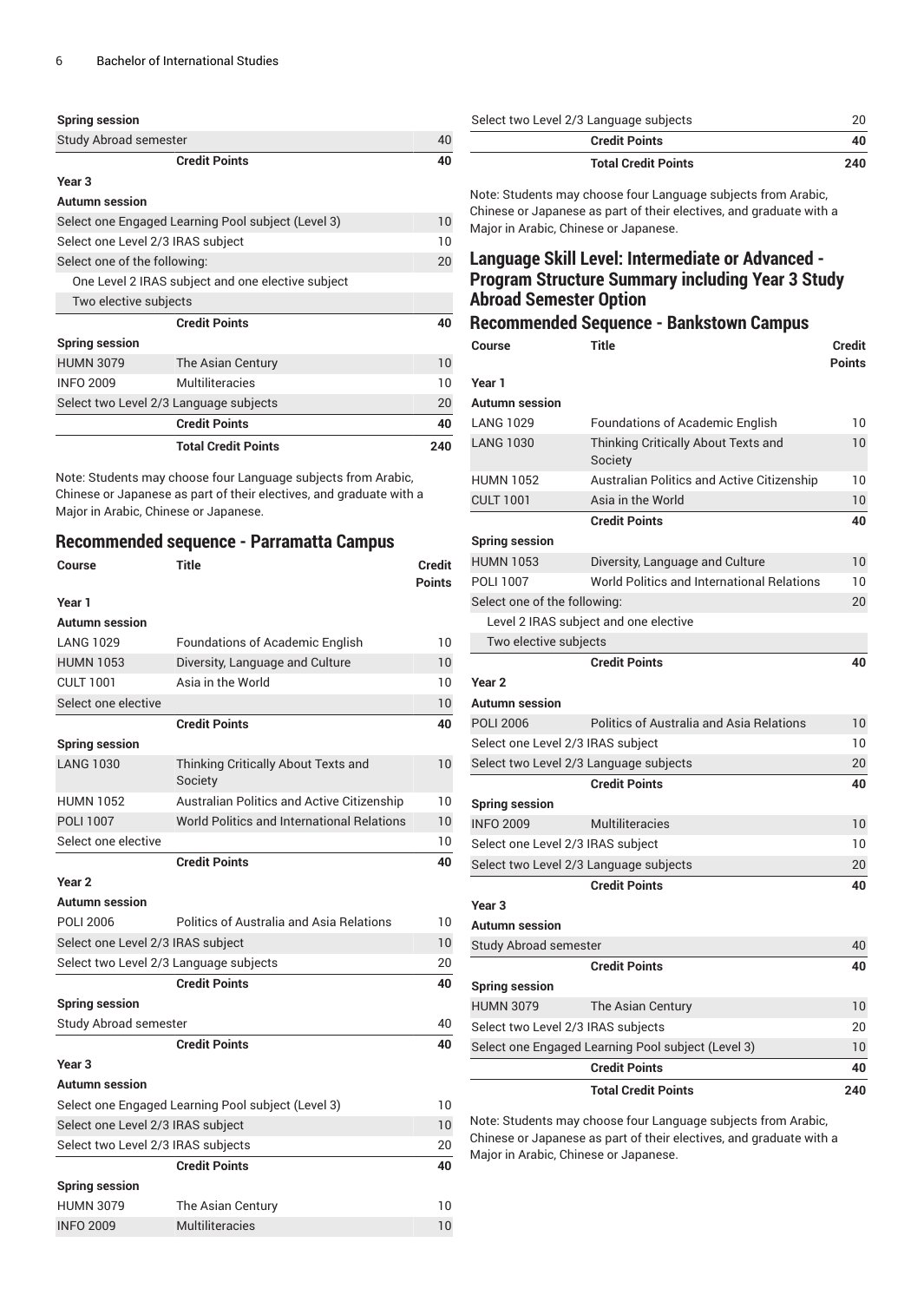#### **Spring session**

| Study Abroad semester | 40 |
|-----------------------|----|
| <b>Credit Points</b>  | 40 |
| Year 3                |    |

#### **Autumn session**

|                                                    | <b>Total Credit Points</b>                        | 240 |
|----------------------------------------------------|---------------------------------------------------|-----|
|                                                    | <b>Credit Points</b>                              | 40  |
| Select two Level 2/3 Language subjects             |                                                   | 20  |
| <b>INFO 2009</b>                                   | Multiliteracies                                   | 10  |
| <b>HUMN 3079</b>                                   | The Asian Century                                 | 10  |
| <b>Spring session</b>                              |                                                   |     |
|                                                    | <b>Credit Points</b>                              | 40  |
| Two elective subjects                              |                                                   |     |
|                                                    | One Level 2 IRAS subject and one elective subject |     |
| Select one of the following:                       |                                                   | 20  |
| Select one Level 2/3 IRAS subject                  |                                                   |     |
| Select one Engaged Learning Pool subject (Level 3) |                                                   |     |
|                                                    |                                                   |     |

Note: Students may choose four Language subjects from Arabic, Chinese or Japanese as part of their electives, and graduate with a Major in Arabic, Chinese or Japanese.

#### **Recommended sequence - Parramatta Campus**

| Course                             | <b>Title</b>                                       | <b>Credit</b><br><b>Points</b> |
|------------------------------------|----------------------------------------------------|--------------------------------|
| Year 1                             |                                                    |                                |
| <b>Autumn</b> session              |                                                    |                                |
| <b>LANG 1029</b>                   | <b>Foundations of Academic English</b>             | 10                             |
| <b>HUMN 1053</b>                   | Diversity, Language and Culture                    | 10                             |
| <b>CULT 1001</b>                   | Asia in the World                                  | 10                             |
| Select one elective                |                                                    | 10                             |
|                                    | <b>Credit Points</b>                               | 40                             |
| <b>Spring session</b>              |                                                    |                                |
| <b>LANG 1030</b>                   | Thinking Critically About Texts and<br>Society     | 10                             |
| <b>HUMN 1052</b>                   | Australian Politics and Active Citizenship         | 10                             |
| <b>POLI 1007</b>                   | World Politics and International Relations         | 10                             |
| Select one elective                |                                                    | 10                             |
|                                    | <b>Credit Points</b>                               | 40                             |
| Year <sub>2</sub>                  |                                                    |                                |
| <b>Autumn</b> session              |                                                    |                                |
| <b>POLI 2006</b>                   | Politics of Australia and Asia Relations           | 10                             |
| Select one Level 2/3 IRAS subject  |                                                    | 10                             |
|                                    | Select two Level 2/3 Language subjects             | 20                             |
|                                    | <b>Credit Points</b>                               | 40                             |
| <b>Spring session</b>              |                                                    |                                |
| <b>Study Abroad semester</b>       |                                                    | 40                             |
|                                    | <b>Credit Points</b>                               | 40                             |
| Year <sub>3</sub>                  |                                                    |                                |
| <b>Autumn</b> session              |                                                    |                                |
|                                    | Select one Engaged Learning Pool subject (Level 3) | 10                             |
| Select one Level 2/3 IRAS subject  |                                                    | 10                             |
| Select two Level 2/3 IRAS subjects |                                                    | 20                             |
|                                    | <b>Credit Points</b>                               | 40                             |
| <b>Spring session</b>              |                                                    |                                |
| <b>HUMN 3079</b>                   | The Asian Century                                  | 10                             |
| <b>INFO 2009</b>                   | Multiliteracies                                    | 10                             |

| Select two Level 2/3 Language subjects | 20  |
|----------------------------------------|-----|
| <b>Credit Points</b>                   | 40  |
| <b>Total Credit Points</b>             | 240 |

Note: Students may choose four Language subjects from Arabic, Chinese or Japanese as part of their electives, and graduate with a Major in Arabic, Chinese or Japanese.

# **Language Skill Level: Intermediate or Advanced - Program Structure Summary including Year 3 Study Abroad Semester Option**

# **Recommended Sequence - Bankstown Campus**

| Course                                 | <b>Title</b>                                       | <b>Credit</b><br><b>Points</b> |
|----------------------------------------|----------------------------------------------------|--------------------------------|
| Year 1                                 |                                                    |                                |
| Autumn session                         |                                                    |                                |
| <b>LANG 1029</b>                       | <b>Foundations of Academic English</b>             | 10                             |
| <b>LANG 1030</b>                       | Thinking Critically About Texts and<br>Society     | 10                             |
| HUMN 1052                              | Australian Politics and Active Citizenship         | 10                             |
| <b>CULT 1001</b>                       | Asia in the World                                  | 10                             |
|                                        | <b>Credit Points</b>                               | 40                             |
| <b>Spring session</b>                  |                                                    |                                |
| <b>HUMN 1053</b>                       | Diversity, Language and Culture                    | 10                             |
| <b>POLI 1007</b>                       | World Politics and International Relations         | 10                             |
| Select one of the following:           |                                                    | 20                             |
|                                        | Level 2 IRAS subject and one elective              |                                |
| Two elective subjects                  |                                                    |                                |
|                                        | <b>Credit Points</b>                               | 40                             |
| Year <sub>2</sub>                      |                                                    |                                |
| Autumn session                         |                                                    |                                |
| <b>POLI 2006</b>                       | <b>Politics of Australia and Asia Relations</b>    | 10                             |
| Select one Level 2/3 IRAS subject      |                                                    | 10                             |
| Select two Level 2/3 Language subjects |                                                    | 20                             |
|                                        | <b>Credit Points</b>                               | 40                             |
| Spring session                         |                                                    |                                |
| <b>INFO 2009</b>                       | <b>Multiliteracies</b>                             | 10                             |
| Select one Level 2/3 IRAS subject      |                                                    | 10                             |
| Select two Level 2/3 Language subjects |                                                    | 20                             |
|                                        | <b>Credit Points</b>                               | 40                             |
| Year <sub>3</sub>                      |                                                    |                                |
| Autumn session                         |                                                    |                                |
| Study Abroad semester                  |                                                    | 40                             |
|                                        | <b>Credit Points</b>                               | 40                             |
| <b>Spring session</b>                  |                                                    |                                |
| <b>HUMN 3079</b>                       | The Asian Century                                  | 10                             |
| Select two Level 2/3 IRAS subjects     |                                                    | 20                             |
|                                        | Select one Engaged Learning Pool subject (Level 3) | 10                             |
|                                        | <b>Credit Points</b>                               | 40                             |
|                                        | <b>Total Credit Points</b>                         | 240                            |

Note: Students may choose four Language subjects from Arabic, Chinese or Japanese as part of their electives, and graduate with a Major in Arabic, Chinese or Japanese.